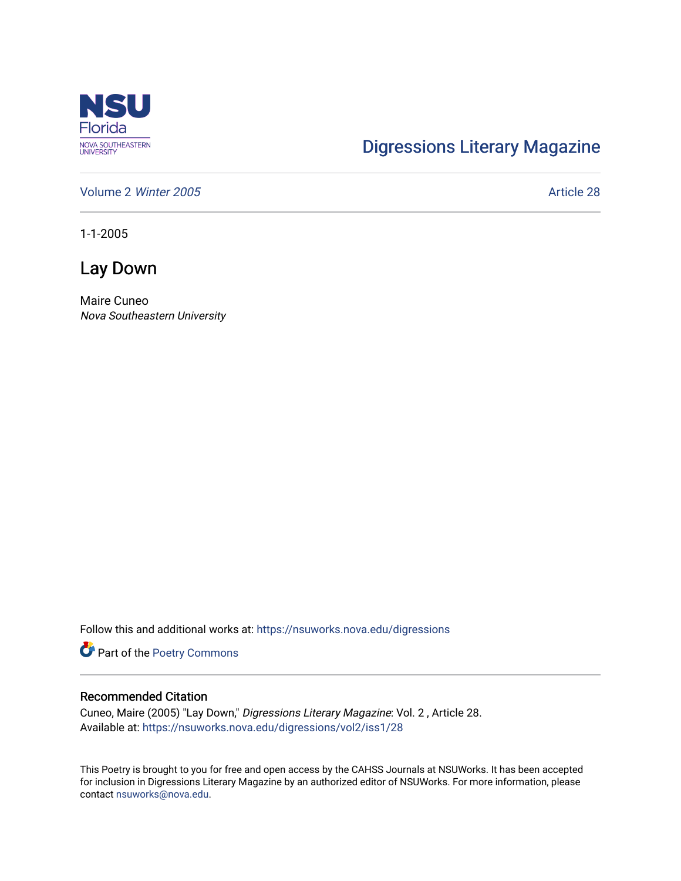

## [Digressions Literary Magazine](https://nsuworks.nova.edu/digressions)

[Volume 2](https://nsuworks.nova.edu/digressions/vol2) Winter 2005 **Article 28** 

1-1-2005

Lay Down

Maire Cuneo Nova Southeastern University

Follow this and additional works at: [https://nsuworks.nova.edu/digressions](https://nsuworks.nova.edu/digressions?utm_source=nsuworks.nova.edu%2Fdigressions%2Fvol2%2Fiss1%2F28&utm_medium=PDF&utm_campaign=PDFCoverPages) 

Part of the [Poetry Commons](http://network.bepress.com/hgg/discipline/1153?utm_source=nsuworks.nova.edu%2Fdigressions%2Fvol2%2Fiss1%2F28&utm_medium=PDF&utm_campaign=PDFCoverPages) 

## Recommended Citation

Cuneo, Maire (2005) "Lay Down," Digressions Literary Magazine: Vol. 2 , Article 28. Available at: [https://nsuworks.nova.edu/digressions/vol2/iss1/28](https://nsuworks.nova.edu/digressions/vol2/iss1/28?utm_source=nsuworks.nova.edu%2Fdigressions%2Fvol2%2Fiss1%2F28&utm_medium=PDF&utm_campaign=PDFCoverPages) 

This Poetry is brought to you for free and open access by the CAHSS Journals at NSUWorks. It has been accepted for inclusion in Digressions Literary Magazine by an authorized editor of NSUWorks. For more information, please contact [nsuworks@nova.edu.](mailto:nsuworks@nova.edu)